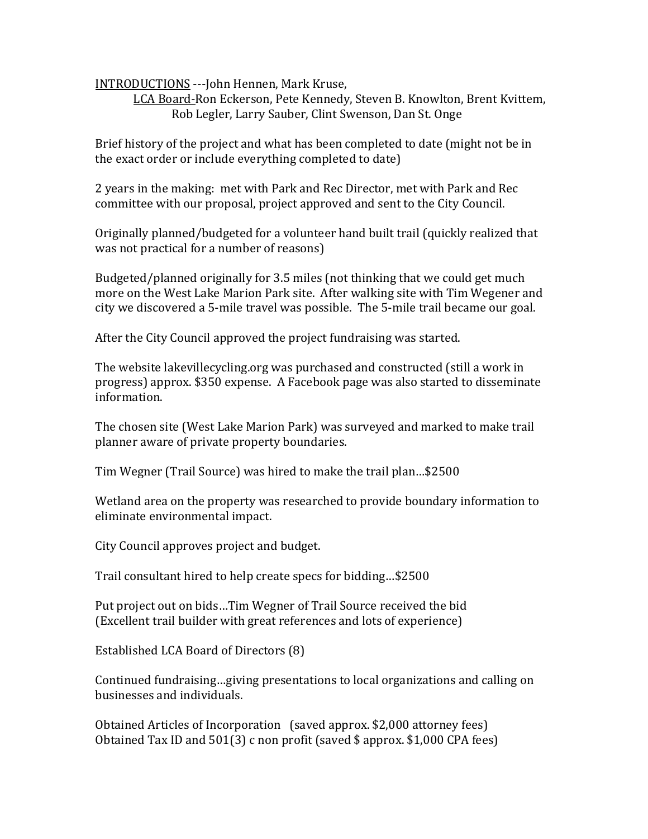INTRODUCTIONS ---John Hennen, Mark Kruse,

LCA Board-Ron Eckerson, Pete Kennedy, Steven B. Knowlton, Brent Kvittem, Rob Legler, Larry Sauber, Clint Swenson, Dan St. Onge

Brief history of the project and what has been completed to date (might not be in the exact order or include everything completed to date)

2 years in the making: met with Park and Rec Director, met with Park and Rec committee with our proposal, project approved and sent to the City Council.

Originally planned/budgeted for a volunteer hand built trail (quickly realized that was not practical for a number of reasons)

Budgeted/planned originally for 3.5 miles (not thinking that we could get much more on the West Lake Marion Park site. After walking site with Tim Wegener and city we discovered a 5-mile travel was possible. The 5-mile trail became our goal.

After the City Council approved the project fundraising was started.

The website lakevillecycling.org was purchased and constructed (still a work in progress) approx. \$350 expense. A Facebook page was also started to disseminate information. 

The chosen site (West Lake Marion Park) was surveyed and marked to make trail planner aware of private property boundaries.

Tim Wegner (Trail Source) was hired to make the trail plan...\$2500

Wetland area on the property was researched to provide boundary information to eliminate environmental impact.

City Council approves project and budget.

Trail consultant hired to help create specs for bidding...\$2500

Put project out on bids...Tim Wegner of Trail Source received the bid (Excellent trail builder with great references and lots of experience)

Established LCA Board of Directors (8)

Continued fundraising...giving presentations to local organizations and calling on businesses and individuals.

Obtained Articles of Incorporation (saved approx. \$2,000 attorney fees) Obtained Tax ID and  $501(3)$  c non profit (saved \$ approx. \$1,000 CPA fees)